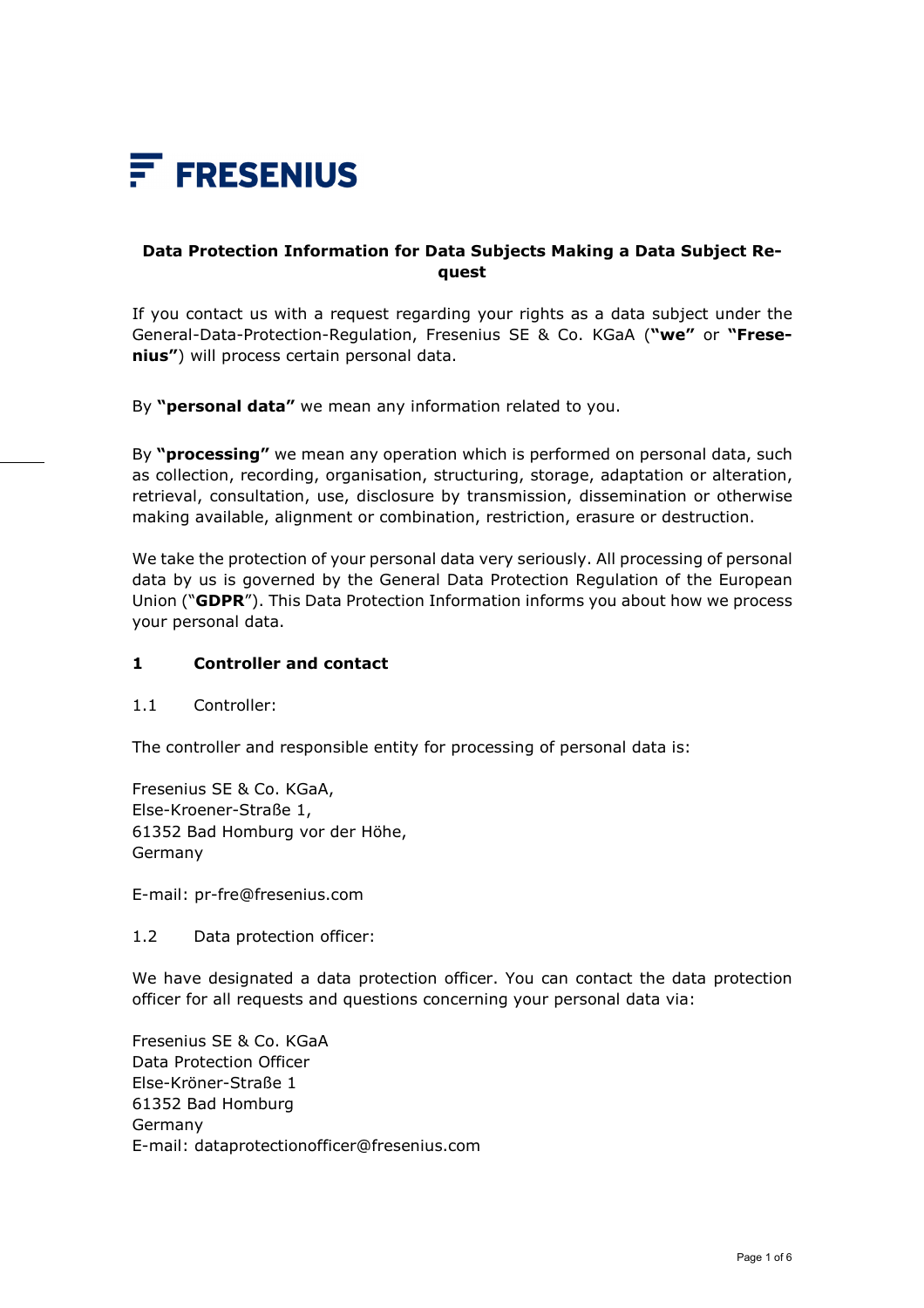

# **Data Protection Information for Data Subjects Making a Data Subject Request**

If you contact us with a request regarding your rights as a data subject under the General-Data-Protection-Regulation, Fresenius SE & Co. KGaA (**"we"** or **"Fresenius"**) will process certain personal data.

By **"personal data"** we mean any information related to you.

By **"processing"** we mean any operation which is performed on personal data, such as collection, recording, organisation, structuring, storage, adaptation or alteration, retrieval, consultation, use, disclosure by transmission, dissemination or otherwise making available, alignment or combination, restriction, erasure or destruction.

We take the protection of your personal data very seriously. All processing of personal data by us is governed by the General Data Protection Regulation of the European Union ("**GDPR**"). This Data Protection Information informs you about how we process your personal data.

#### **1 Controller and contact**

1.1 Controller:

The controller and responsible entity for processing of personal data is:

Fresenius SE & Co. KGaA, Else-Kroener-Straße 1, 61352 Bad Homburg vor der Höhe, Germany

E-mail: pr-fre@fresenius.com

1.2 Data protection officer:

We have designated a data protection officer. You can contact the data protection officer for all requests and questions concerning your personal data via:

Fresenius SE & Co. KGaA Data Protection Officer Else-Kröner-Straße 1 61352 Bad Homburg Germany E-mail: dataprotectionofficer@fresenius.com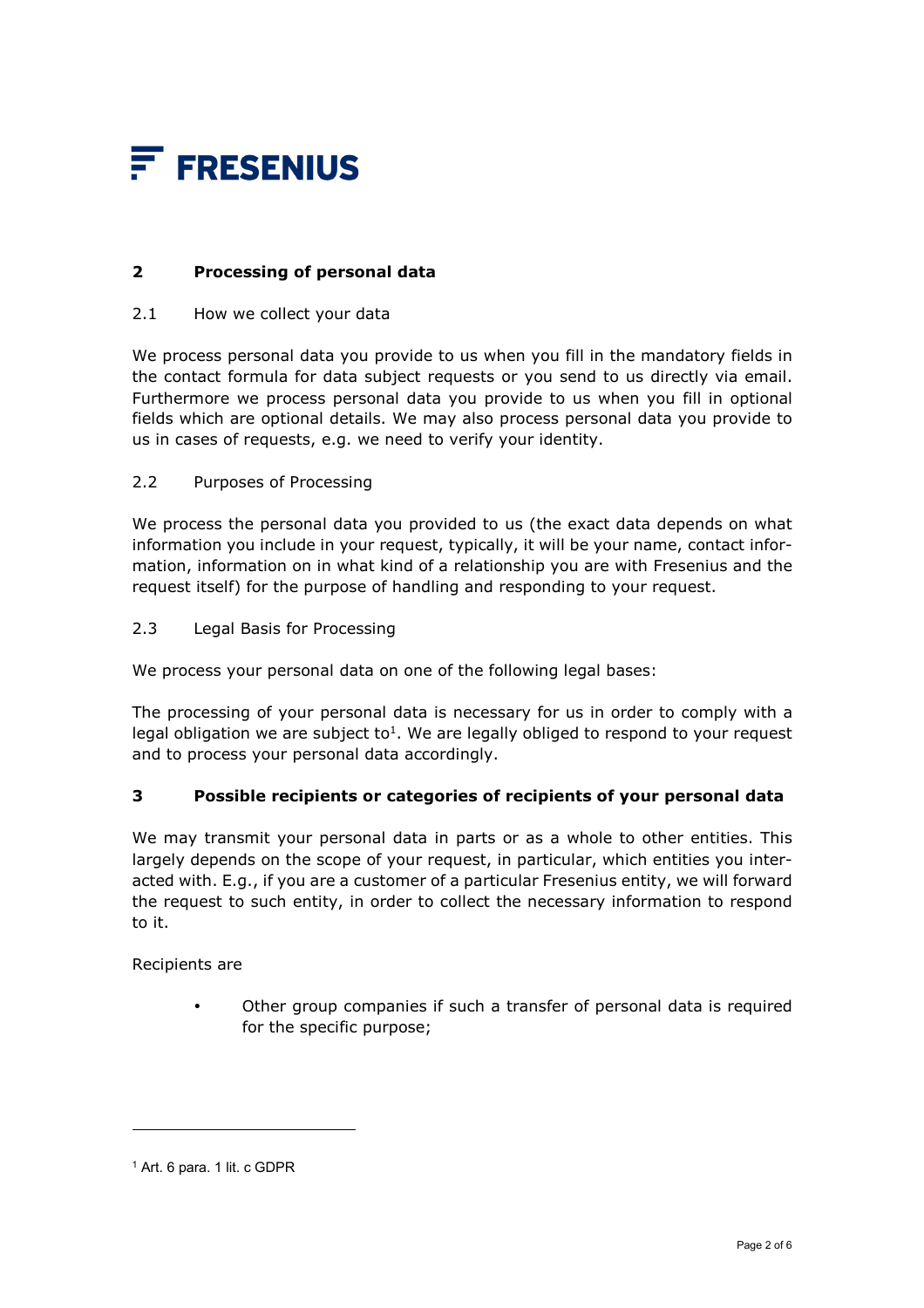

# **2 Processing of personal data**

#### 2.1 How we collect your data

We process personal data you provide to us when you fill in the mandatory fields in the contact formula for data subject requests or you send to us directly via email. Furthermore we process personal data you provide to us when you fill in optional fields which are optional details. We may also process personal data you provide to us in cases of requests, e.g. we need to verify your identity.

#### 2.2 Purposes of Processing

We process the personal data you provided to us (the exact data depends on what information you include in your request, typically, it will be your name, contact information, information on in what kind of a relationship you are with Fresenius and the request itself) for the purpose of handling and responding to your request.

2.3 Legal Basis for Processing

We process your personal data on one of the following legal bases:

The processing of your personal data is necessary for us in order to comply with a legal obligation we are subject to<sup>1</sup>. We are legally obliged to respond to your request and to process your personal data accordingly.

## **3 Possible recipients or categories of recipients of your personal data**

We may transmit your personal data in parts or as a whole to other entities. This largely depends on the scope of your request, in particular, which entities you interacted with. E.g., if you are a customer of a particular Fresenius entity, we will forward the request to such entity, in order to collect the necessary information to respond to it.

Recipients are

-

 Other group companies if such a transfer of personal data is required for the specific purpose;

<sup>1</sup> Art. 6 para. 1 lit. c GDPR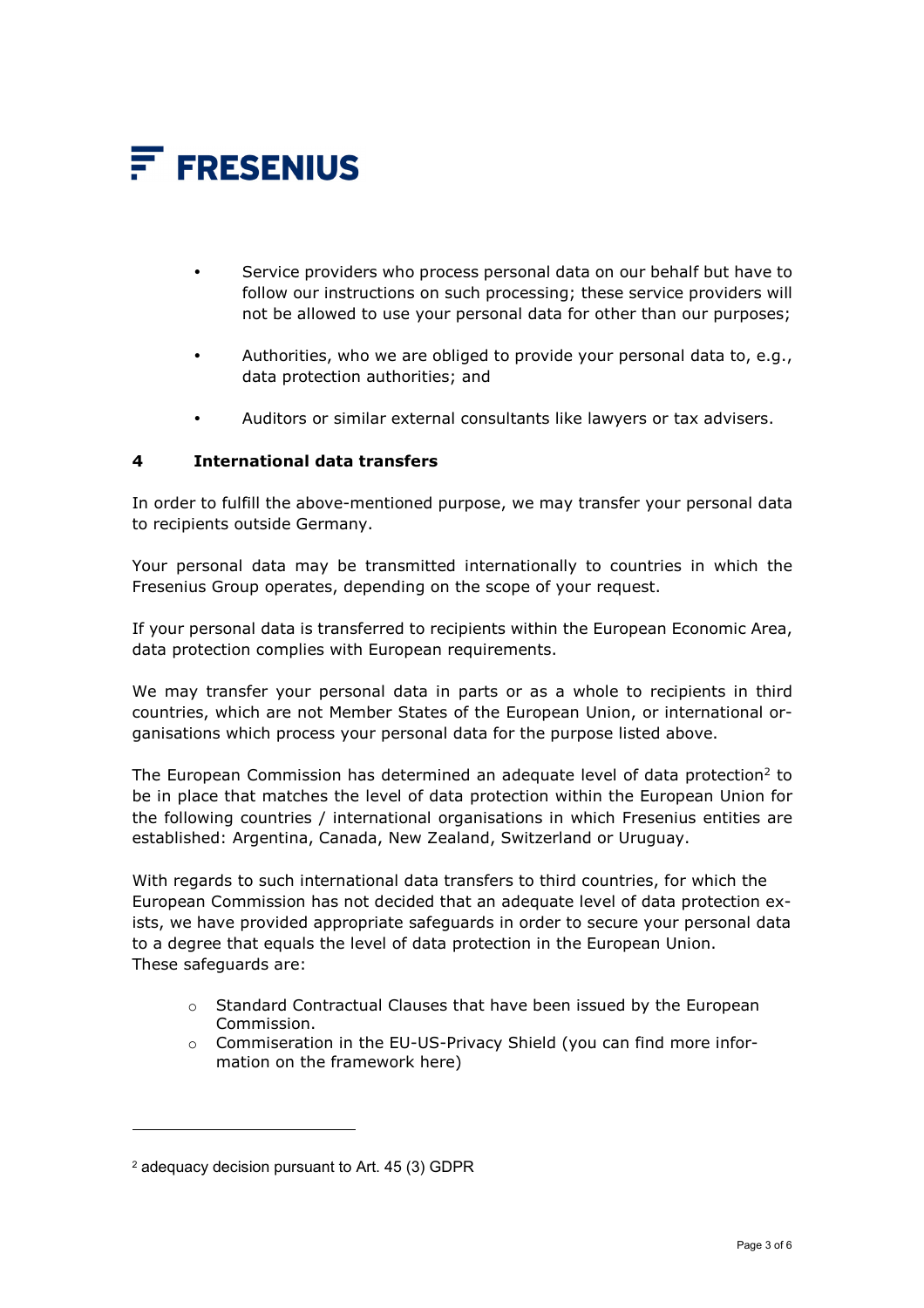

- Service providers who process personal data on our behalf but have to follow our instructions on such processing; these service providers will not be allowed to use your personal data for other than our purposes;
- Authorities, who we are obliged to provide your personal data to, e.g., data protection authorities; and
- Auditors or similar external consultants like lawyers or tax advisers.

#### **4 International data transfers**

In order to fulfill the above-mentioned purpose, we may transfer your personal data to recipients outside Germany.

Your personal data may be transmitted internationally to countries in which the Fresenius Group operates, depending on the scope of your request.

If your personal data is transferred to recipients within the European Economic Area, data protection complies with European requirements.

We may transfer your personal data in parts or as a whole to recipients in third countries, which are not Member States of the European Union, or international organisations which process your personal data for the purpose listed above.

The European Commission has determined an adequate level of data protection<sup>2</sup> to be in place that matches the level of data protection within the European Union for the following countries / international organisations in which Fresenius entities are established: Argentina, Canada, New Zealand, Switzerland or Uruguay.

With regards to such international data transfers to third countries, for which the European Commission has not decided that an adequate level of data protection exists, we have provided appropriate safeguards in order to secure your personal data to a degree that equals the level of data protection in the European Union. These safeguards are:

- o Standard Contractual Clauses that have been issued by the European Commission.
- o Commiseration in the EU-US-Privacy Shield (you can find more information on the framework here)

-

<sup>2</sup> adequacy decision pursuant to Art. 45 (3) GDPR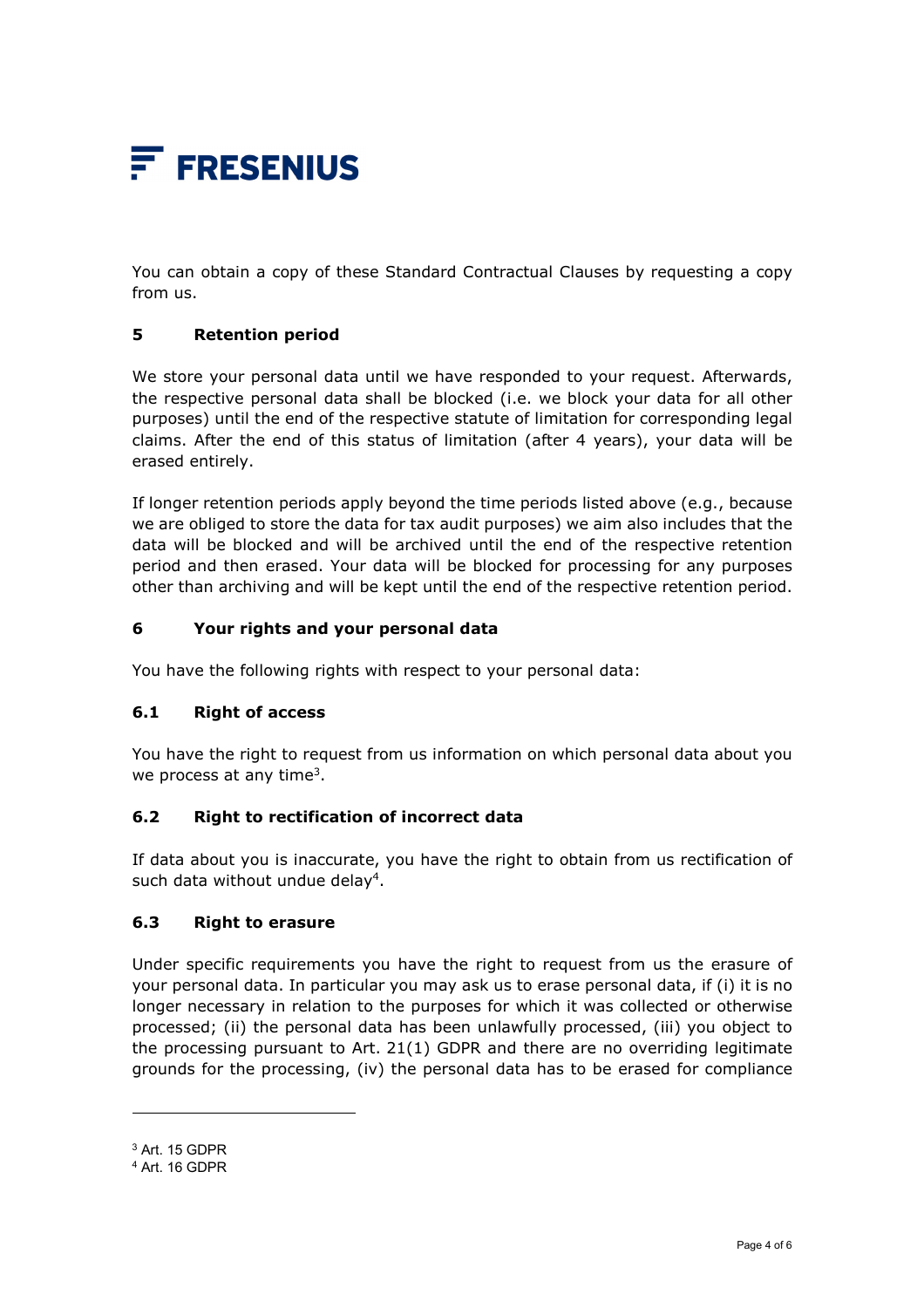

You can obtain a copy of these Standard Contractual Clauses by requesting a copy from us.

## **5 Retention period**

We store your personal data until we have responded to your request. Afterwards, the respective personal data shall be blocked (i.e. we block your data for all other purposes) until the end of the respective statute of limitation for corresponding legal claims. After the end of this status of limitation (after 4 years), your data will be erased entirely.

If longer retention periods apply beyond the time periods listed above (e.g., because we are obliged to store the data for tax audit purposes) we aim also includes that the data will be blocked and will be archived until the end of the respective retention period and then erased. Your data will be blocked for processing for any purposes other than archiving and will be kept until the end of the respective retention period.

## **6 Your rights and your personal data**

You have the following rights with respect to your personal data:

## **6.1 Right of access**

You have the right to request from us information on which personal data about you we process at any time<sup>3</sup>.

## **6.2 Right to rectification of incorrect data**

If data about you is inaccurate, you have the right to obtain from us rectification of such data without undue delay<sup>4</sup>.

#### **6.3 Right to erasure**

Under specific requirements you have the right to request from us the erasure of your personal data. In particular you may ask us to erase personal data, if (i) it is no longer necessary in relation to the purposes for which it was collected or otherwise processed; (ii) the personal data has been unlawfully processed, (iii) you object to the processing pursuant to Art.  $21(1)$  GDPR and there are no overriding legitimate grounds for the processing, (iv) the personal data has to be erased for compliance

 $\overline{a}$ 

<sup>3</sup> Art. 15 GDPR

<sup>4</sup> Art. 16 GDPR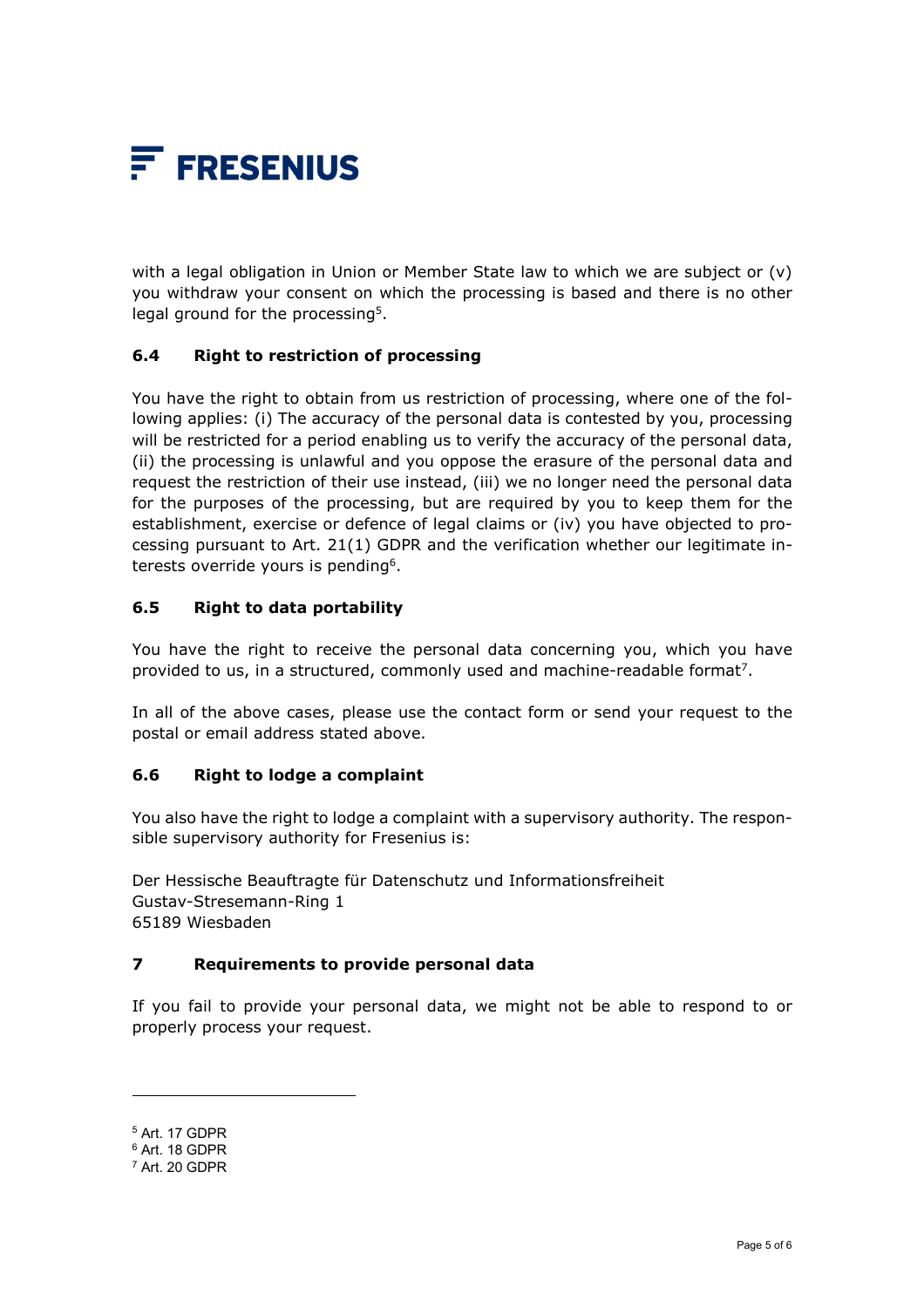

with a legal obligation in Union or Member State law to which we are subject or (v) you withdraw your consent on which the processing is based and there is no other legal ground for the processing<sup>5</sup>.

## **6.4 Right to restriction of processing**

You have the right to obtain from us restriction of processing, where one of the following applies: (i) The accuracy of the personal data is contested by you, processing will be restricted for a period enabling us to verify the accuracy of the personal data, (ii) the processing is unlawful and you oppose the erasure of the personal data and request the restriction of their use instead, (iii) we no longer need the personal data for the purposes of the processing, but are required by you to keep them for the establishment, exercise or defence of legal claims or (iv) you have objected to processing pursuant to Art. 21(1) GDPR and the verification whether our legitimate interests override yours is pending<sup>6</sup>.

## **6.5 Right to data portability**

You have the right to receive the personal data concerning you, which you have provided to us, in a structured, commonly used and machine-readable format<sup>7</sup>.

In all of the above cases, please use the contact form or send your request to the postal or email address stated above.

## **6.6 Right to lodge a complaint**

You also have the right to lodge a complaint with a supervisory authority. The responsible supervisory authority for Fresenius is:

Der Hessische Beauftragte für Datenschutz und Informationsfreiheit Gustav-Stresemann-Ring 1 65189 Wiesbaden

## **7 Requirements to provide personal data**

If you fail to provide your personal data, we might not be able to respond to or properly process your request.

l

<sup>5</sup> Art. 17 GDPR

<sup>6</sup> Art. 18 GDPR

<sup>7</sup> Art. 20 GDPR